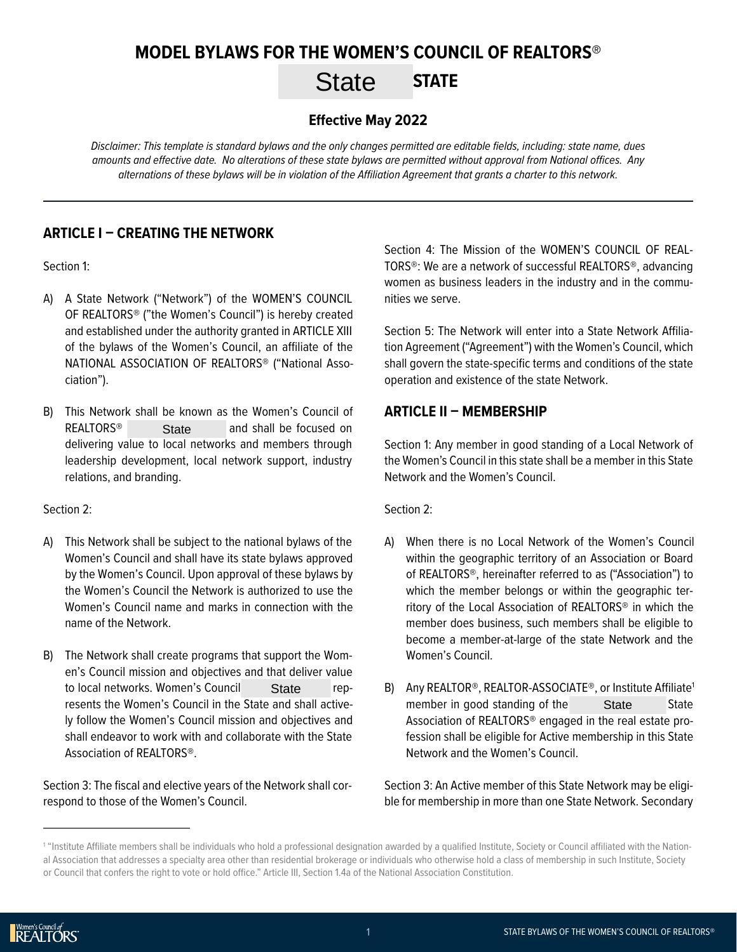# **MODEL BYLAWS FOR THE WOMEN'S COUNCIL OF REALTORS®** State STATE

#### **Effective May 2022**

*Disclaimer: This template* is *standard bylaws and the only changes permitted are editable fields, including: state name, dues amounts and effective date. No alterations of these state bylaws are permitted without approval from National offices. Any alternations of these bylaws will be in violation of the Affiliation Agreement that grants a charter to this network.*

#### **ARTICLE I – CREATING THE NETWORK**

Section 1:

- A) A State Network ("Network") of the WOMEN'S COUNCIL OF REALTORS® ("the Women's Council") is hereby created and established under the authority granted in ARTICLE XIII of the bylaws of the Women's Council, an affiliate of the NATIONAL ASSOCIATION OF REALTORS® ("National Association").
- B) This Network shall be known as the Women's Council of  $REALTORS<sup>®</sup>$  State and shall be focused on delivering value to local networks and members through leadership development, local network support, industry relations, and branding. **State**

Section 2:

- A) This Network shall be subject to the national bylaws of the Women's Council and shall have its state bylaws approved by the Women's Council. Upon approval of these bylaws by the Women's Council the Network is authorized to use the Women's Council name and marks in connection with the name of the Network.
- B) The Network shall create programs that support the Women's Council mission and objectives and that deliver value to local networks. Women's Council State represents the Women's Council in the State and shall actively follow the Women's Council mission and objectives and shall endeavor to work with and collaborate with the State Association of REALTORS®. **State**

Section 3: The fiscal and elective years of the Network shall correspond to those of the Women's Council.

Section 4: The Mission of the WOMEN'S COUNCIL OF REAL-TORS®: We are a network of successful REALTORS®, advancing women as business leaders in the industry and in the communities we serve.

Section 5: The Network will enter into a State Network Affiliation Agreement ("Agreement") with the Women's Council, which shall govern the state-specific terms and conditions of the state operation and existence of the state Network.

## **ARTICLE II – MEMBERSHIP**

Section 1: Any member in good standing of a Local Network of the Women's Council in this state shall be a member in this State Network and the Women's Council.

Section 2:

- A) When there is no Local Network of the Women's Council within the geographic territory of an Association or Board of REALTORS®, hereinafter referred to as ("Association") to which the member belongs or within the geographic territory of the Local Association of REALTORS® in which the member does business, such members shall be eligible to become a member-at-large of the state Network and the Women's Council.
- B) Any REALTOR<sup>®</sup>, REALTOR-ASSOCIATE<sup>®</sup>, or Institute Affiliate<sup>1</sup> member in good standing of the **State** State Association of REALTORS® engaged in the real estate profession shall be eligible for Active membership in this State Network and the Women's Council. **State**

Section 3: An Active member of this State Network may be eligible for membership in more than one State Network. Secondary

<sup>1</sup> "Institute Affiliate members shall be individuals who hold a professional designation awarded by a qualified Institute, Society or Council affiliated with the National Association that addresses a specialty area other than residential brokerage or individuals who otherwise hold a class of membership in such Institute, Society or Council that confers the right to vote or hold office." Article III, Section 1.4a of the National Association Constitution.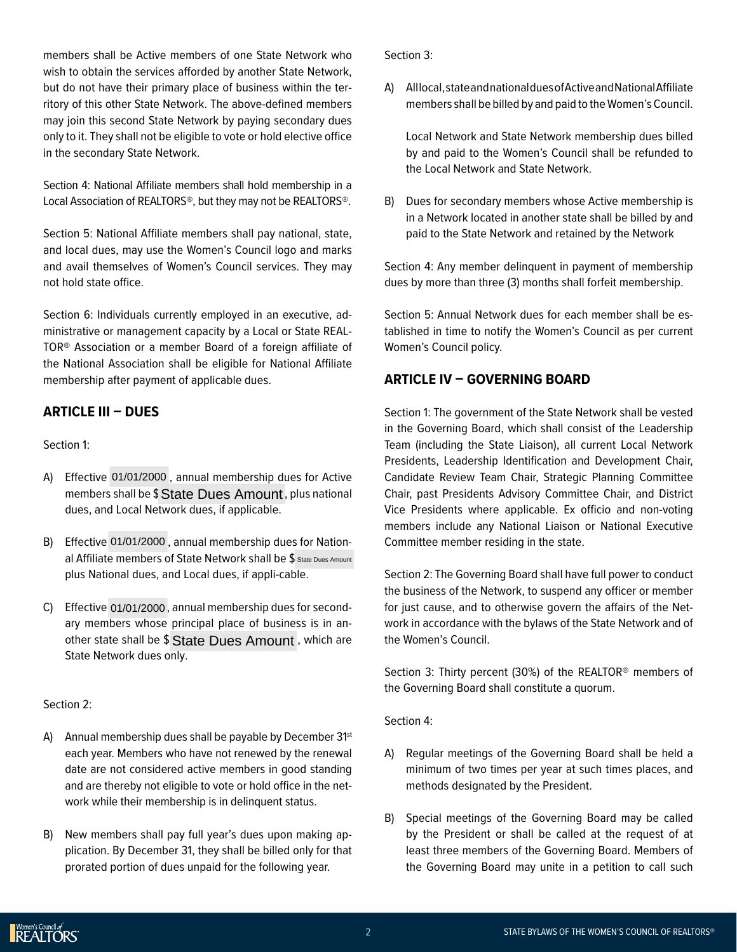members shall be Active members of one State Network who wish to obtain the services afforded by another State Network, but do not have their primary place of business within the territory of this other State Network. The above-defined members may join this second State Network by paying secondary dues only to it. They shall not be eligible to vote or hold elective office in the secondary State Network.

Section 4: National Affiliate members shall hold membership in a Local Association of REALTORS®, but they may not be REALTORS®.

Section 5: National Affiliate members shall pay national, state, and local dues, may use the Women's Council logo and marks and avail themselves of Women's Council services. They may not hold state office.

Section 6: Individuals currently employed in an executive, administrative or management capacity by a Local or State REAL-TOR® Association or a member Board of a foreign affiliate of the National Association shall be eligible for National Affiliate membership after payment of applicable dues.

#### **ARTICLE III – DUES**

Section 1:

- A) Effective 01/01/2000, annual membership dues for Active members shall be \$ State Dues Amount, plus national dues, and Local Network dues, if applicable.
- B) Effective 01/01/2000, annual membership dues for National Affiliate members of State Network shall be  $\frac{1}{3}$  state Dues Amount plus National dues, and Local dues, if appli-cable. shall be \$ State Dues Amount, plus national<br>1 Local Network dues, if applicable.<br>01/01/2000, annual membership dues for Nation-<br>9 members of State Network shall be \$ state Dues Amount<br>01/01/2000, annual membership dues for
- C) Effective 01/01/2000, annual membership dues for secondary members whose principal place of business is in another state shall be \$ State Dues Amount, which are State Network dues only.

#### Section 2:

- A) Annual membership dues shall be payable by December 31<sup>st</sup> each year. Members who have not renewed by the renewal date are not considered active members in good standing and are thereby not eligible to vote or hold office in the network while their membership is in delinquent status.
- B) New members shall pay full year's dues upon making application. By December 31, they shall be billed only for that prorated portion of dues unpaid for the following year.

Section 3:

A) All local, state and national dues of Active and National Affiliate members shall be billed by and paid to the Women's Council.

Local Network and State Network membership dues billed by and paid to the Women's Council shall be refunded to the Local Network and State Network.

B) Dues for secondary members whose Active membership is in a Network located in another state shall be billed by and paid to the State Network and retained by the Network

Section 4: Any member delinquent in payment of membership dues by more than three (3) months shall forfeit membership.

Section 5: Annual Network dues for each member shall be established in time to notify the Women's Council as per current Women's Council policy.

#### **ARTICLE IV – GOVERNING BOARD**

Section 1: The government of the State Network shall be vested in the Governing Board, which shall consist of the Leadership Team (including the State Liaison), all current Local Network Presidents, Leadership Identification and Development Chair, Candidate Review Team Chair, Strategic Planning Committee Chair, past Presidents Advisory Committee Chair, and District Vice Presidents where applicable. Ex officio and non-voting members include any National Liaison or National Executive Committee member residing in the state.

Section 2: The Governing Board shall have full power to conduct the business of the Network, to suspend any officer or member for just cause, and to otherwise govern the affairs of the Network in accordance with the bylaws of the State Network and of the Women's Council.

Section 3: Thirty percent (30%) of the REALTOR® members of the Governing Board shall constitute a quorum.

Section 4:

- A) Regular meetings of the Governing Board shall be held a minimum of two times per year at such times places, and methods designated by the President.
- B) Special meetings of the Governing Board may be called by the President or shall be called at the request of at least three members of the Governing Board. Members of the Governing Board may unite in a petition to call such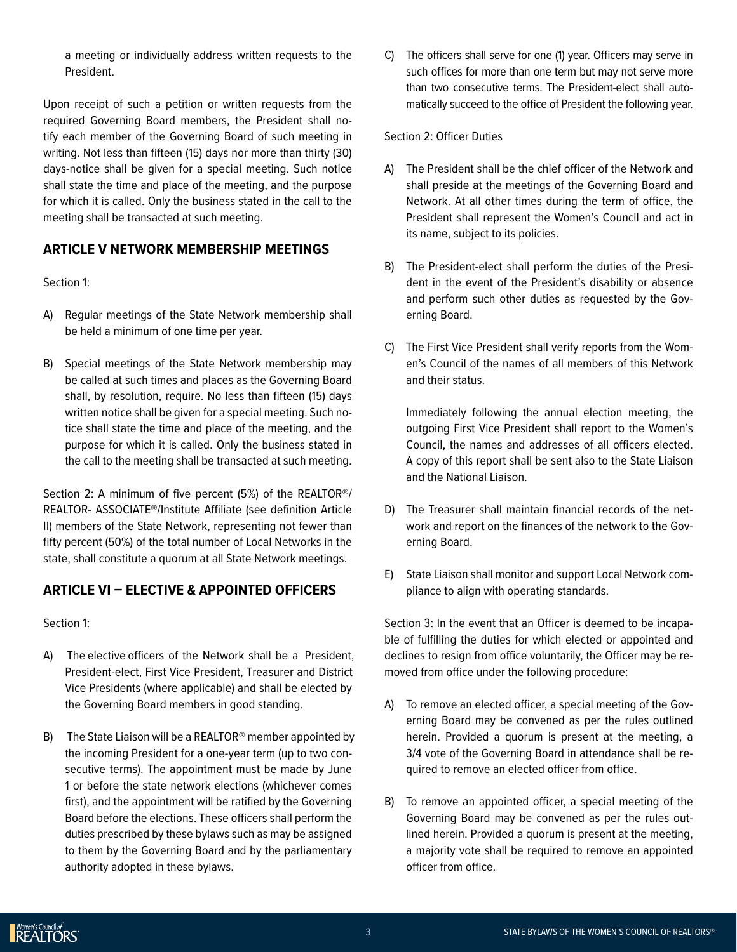a meeting or individually address written requests to the President.

Upon receipt of such a petition or written requests from the required Governing Board members, the President shall notify each member of the Governing Board of such meeting in writing. Not less than fifteen (15) days nor more than thirty (30) days-notice shall be given for a special meeting. Such notice shall state the time and place of the meeting, and the purpose for which it is called. Only the business stated in the call to the meeting shall be transacted at such meeting.

#### **ARTICLE V NETWORK MEMBERSHIP MEETINGS**

Section 1:

- A) Regular meetings of the State Network membership shall be held a minimum of one time per year.
- B) Special meetings of the State Network membership may be called at such times and places as the Governing Board shall, by resolution, require. No less than fifteen (15) days written notice shall be given for a special meeting. Such notice shall state the time and place of the meeting, and the purpose for which it is called. Only the business stated in the call to the meeting shall be transacted at such meeting.

Section 2: A minimum of five percent (5%) of the REALTOR®/ REALTOR- ASSOCIATE®/Institute Affiliate (see definition Article II) members of the State Network, representing not fewer than fifty percent (50%) of the total number of Local Networks in the state, shall constitute a quorum at all State Network meetings.

## **ARTICLE VI – ELECTIVE & APPOINTED OFFICERS**

Section 1:

- A) The elective officers of the Network shall be a President, President-elect, First Vice President, Treasurer and District Vice Presidents (where applicable) and shall be elected by the Governing Board members in good standing.
- B) The State Liaison will be a REALTOR® member appointed by the incoming President for a one-year term (up to two consecutive terms). The appointment must be made by June 1 or before the state network elections (whichever comes first), and the appointment will be ratified by the Governing Board before the elections. These officers shall perform the duties prescribed by these bylaws such as may be assigned to them by the Governing Board and by the parliamentary authority adopted in these bylaws.

C) The officers shall serve for one (1) year. Officers may serve in such offices for more than one term but may not serve more than two consecutive terms. The President-elect shall automatically succeed to the office of President the following year.

Section 2: Officer Duties

- A) The President shall be the chief officer of the Network and shall preside at the meetings of the Governing Board and Network. At all other times during the term of office, the President shall represent the Women's Council and act in its name, subject to its policies.
- B) The President-elect shall perform the duties of the President in the event of the President's disability or absence and perform such other duties as requested by the Governing Board.
- C) The First Vice President shall verify reports from the Women's Council of the names of all members of this Network and their status.

Immediately following the annual election meeting, the outgoing First Vice President shall report to the Women's Council, the names and addresses of all officers elected. A copy of this report shall be sent also to the State Liaison and the National Liaison.

- D) The Treasurer shall maintain financial records of the network and report on the finances of the network to the Governing Board.
- E) State Liaison shall monitor and support Local Network compliance to align with operating standards.

Section 3: In the event that an Officer is deemed to be incapable of fulfilling the duties for which elected or appointed and declines to resign from office voluntarily, the Officer may be removed from office under the following procedure:

- A) To remove an elected officer, a special meeting of the Governing Board may be convened as per the rules outlined herein. Provided a quorum is present at the meeting, a 3/4 vote of the Governing Board in attendance shall be required to remove an elected officer from office.
- B) To remove an appointed officer, a special meeting of the Governing Board may be convened as per the rules outlined herein. Provided a quorum is present at the meeting, a majority vote shall be required to remove an appointed officer from office.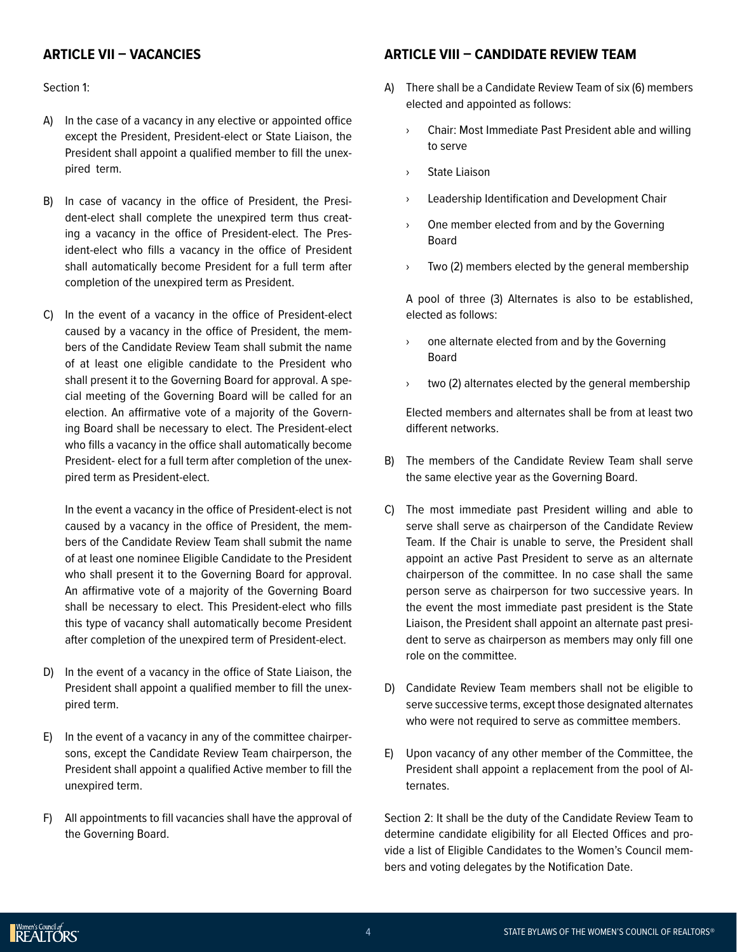#### **ARTICLE VII – VACANCIES**

Section 1:

- A) In the case of a vacancy in any elective or appointed office except the President, President-elect or State Liaison, the President shall appoint a qualified member to fill the unexpired term.
- B) In case of vacancy in the office of President, the President-elect shall complete the unexpired term thus creating a vacancy in the office of President-elect. The President-elect who fills a vacancy in the office of President shall automatically become President for a full term after completion of the unexpired term as President.
- C) In the event of a vacancy in the office of President-elect caused by a vacancy in the office of President, the members of the Candidate Review Team shall submit the name of at least one eligible candidate to the President who shall present it to the Governing Board for approval. A special meeting of the Governing Board will be called for an election. An affirmative vote of a majority of the Governing Board shall be necessary to elect. The President-elect who fills a vacancy in the office shall automatically become President- elect for a full term after completion of the unexpired term as President-elect.

In the event a vacancy in the office of President-elect is not caused by a vacancy in the office of President, the members of the Candidate Review Team shall submit the name of at least one nominee Eligible Candidate to the President who shall present it to the Governing Board for approval. An affirmative vote of a majority of the Governing Board shall be necessary to elect. This President-elect who fills this type of vacancy shall automatically become President after completion of the unexpired term of President-elect.

- D) In the event of a vacancy in the office of State Liaison, the President shall appoint a qualified member to fill the unexpired term.
- E) In the event of a vacancy in any of the committee chairpersons, except the Candidate Review Team chairperson, the President shall appoint a qualified Active member to fill the unexpired term.
- F) All appointments to fill vacancies shall have the approval of the Governing Board.

# **ARTICLE VIII – CANDIDATE REVIEW TEAM**

- A) There shall be a Candidate Review Team of six (6) members elected and appointed as follows:
	- › Chair: Most Immediate Past President able and willing to serve
	- › State Liaison
	- › Leadership Identification and Development Chair
	- › One member elected from and by the Governing Board
	- › Two (2) members elected by the general membership

A pool of three (3) Alternates is also to be established, elected as follows:

- › one alternate elected from and by the Governing Board
- › two (2) alternates elected by the general membership

Elected members and alternates shall be from at least two different networks.

- B) The members of the Candidate Review Team shall serve the same elective year as the Governing Board.
- C) The most immediate past President willing and able to serve shall serve as chairperson of the Candidate Review Team. If the Chair is unable to serve, the President shall appoint an active Past President to serve as an alternate chairperson of the committee. In no case shall the same person serve as chairperson for two successive years. In the event the most immediate past president is the State Liaison, the President shall appoint an alternate past president to serve as chairperson as members may only fill one role on the committee.
- D) Candidate Review Team members shall not be eligible to serve successive terms, except those designated alternates who were not required to serve as committee members.
- E) Upon vacancy of any other member of the Committee, the President shall appoint a replacement from the pool of Alternates.

Section 2: It shall be the duty of the Candidate Review Team to determine candidate eligibility for all Elected Offices and provide a list of Eligible Candidates to the Women's Council members and voting delegates by the Notification Date.

Nomen's Council of<br>REALTORS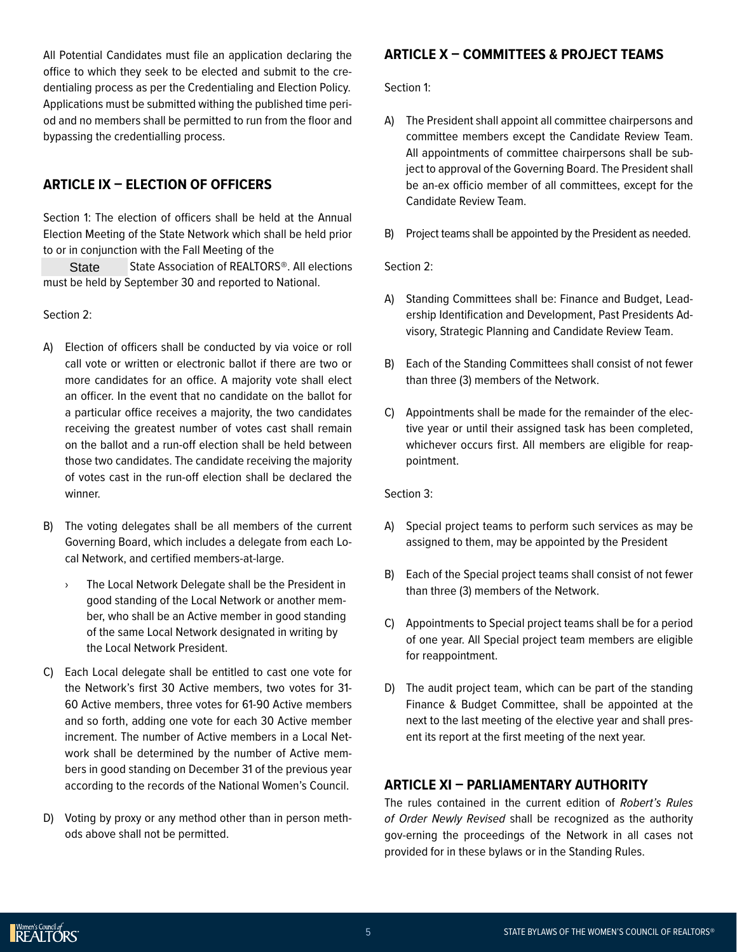All Potential Candidates must file an application declaring the office to which they seek to be elected and submit to the credentialing process as per the Credentialing and Election Policy. Applications must be submitted withing the published time period and no members shall be permitted to run from the floor and bypassing the credentialling process.

## **ARTICLE IX – ELECTION OF OFFICERS**

Section 1: The election of officers shall be held at the Annual Election Meeting of the State Network which shall be held prior to or in conjunction with the Fall Meeting of the

State Association of REALTORS<sup>®</sup>. All elections must be held by September 30 and reported to National. **State** 

#### Section 2:

- A) Election of officers shall be conducted by via voice or roll call vote or written or electronic ballot if there are two or more candidates for an office. A majority vote shall elect an officer. In the event that no candidate on the ballot for a particular office receives a majority, the two candidates receiving the greatest number of votes cast shall remain on the ballot and a run-off election shall be held between those two candidates. The candidate receiving the majority of votes cast in the run-off election shall be declared the winner.
- B) The voting delegates shall be all members of the current Governing Board, which includes a delegate from each Local Network, and certified members-at-large.
	- › The Local Network Delegate shall be the President in good standing of the Local Network or another member, who shall be an Active member in good standing of the same Local Network designated in writing by the Local Network President.
- C) Each Local delegate shall be entitled to cast one vote for the Network's first 30 Active members, two votes for 31- 60 Active members, three votes for 61-90 Active members and so forth, adding one vote for each 30 Active member increment. The number of Active members in a Local Network shall be determined by the number of Active members in good standing on December 31 of the previous year according to the records of the National Women's Council.
- D) Voting by proxy or any method other than in person methods above shall not be permitted.

# **ARTICLE X – COMMITTEES & PROJECT TEAMS**

Section 1:

- A) The President shall appoint all committee chairpersons and committee members except the Candidate Review Team. All appointments of committee chairpersons shall be subject to approval of the Governing Board. The President shall be an-ex officio member of all committees, except for the Candidate Review Team.
- B) Project teams shall be appointed by the President as needed.

Section 2:

- A) Standing Committees shall be: Finance and Budget, Leadership Identification and Development, Past Presidents Advisory, Strategic Planning and Candidate Review Team.
- B) Each of the Standing Committees shall consist of not fewer than three (3) members of the Network.
- C) Appointments shall be made for the remainder of the elective year or until their assigned task has been completed, whichever occurs first. All members are eligible for reappointment.

Section 3:

- A) Special project teams to perform such services as may be assigned to them, may be appointed by the President
- B) Each of the Special project teams shall consist of not fewer than three (3) members of the Network.
- C) Appointments to Special project teams shall be for a period of one year. All Special project team members are eligible for reappointment.
- D) The audit project team, which can be part of the standing Finance & Budget Committee, shall be appointed at the next to the last meeting of the elective year and shall present its report at the first meeting of the next year.

#### **ARTICLE XI – PARLIAMENTARY AUTHORITY**

The rules contained in the current edition of *Robert's Rules of Order* Newly Revised shall be recognized as the authority gov-erning the proceedings of the Network in all cases not provided for in these bylaws or in the Standing Rules.